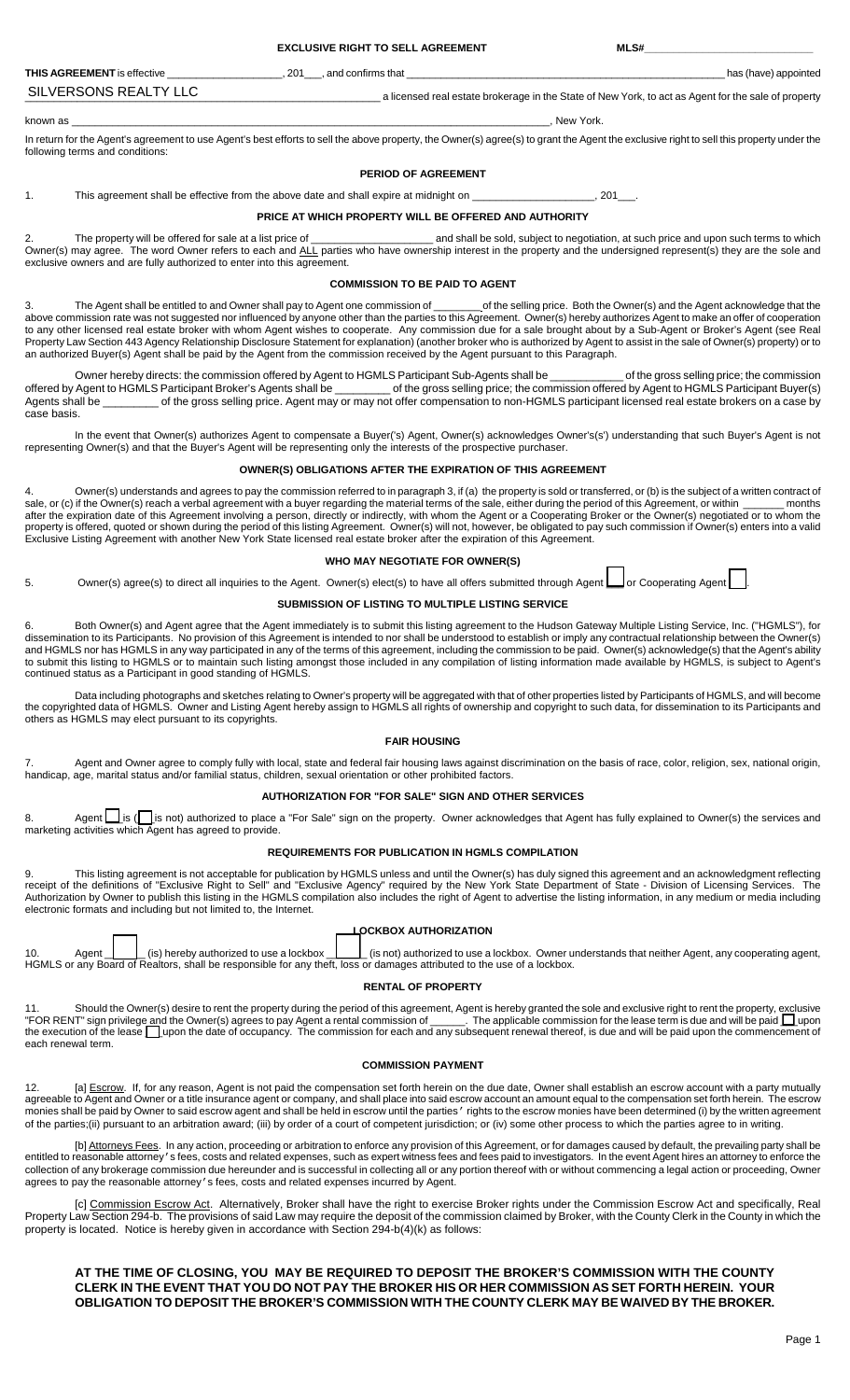**EXCLUSIVE RIGHT TO SELL AGREEMENT MESH** 

|  | has (have) appointe |  |
|--|---------------------|--|
|  |                     |  |

| <b>THIS AGREEMENT</b> is effective | . 201<br>. and confirms that | has (have) appointed                                                                                |
|------------------------------------|------------------------------|-----------------------------------------------------------------------------------------------------|
| SILVERSONS REALTY LLC              |                              | a licensed real estate brokerage in the State of New York, to act as Agent for the sale of property |
|                                    |                              |                                                                                                     |

known as \_\_\_\_\_\_\_\_\_\_\_\_\_\_\_\_\_\_\_\_\_\_\_\_\_\_\_\_\_\_\_\_\_\_\_\_\_\_\_\_\_\_\_\_\_\_\_\_\_\_\_\_\_\_\_\_\_\_\_\_\_\_\_\_\_\_\_\_\_\_\_\_\_\_\_\_\_\_\_\_\_\_, New York.

In return for the Agent's agreement to use Agent's best efforts to sell the above property, the Owner(s) agree(s) to grant the Agent the exclusive right to sell this property under the following terms and conditions:

# **PERIOD OF AGREEMENT**

1. This agreement shall be effective from the above date and shall expire at midnight on \_\_\_\_\_\_\_\_\_\_\_\_\_\_\_\_\_\_, 201\_\_\_.

# **PRICE AT WHICH PROPERTY WILL BE OFFERED AND AUTHORITY**

2. The property will be offered for sale at a list price of \_\_\_\_\_\_\_\_\_\_\_\_\_\_\_\_\_\_\_\_\_ and shall be sold, subject to negotiation, at such price and upon such terms to which Owner(s) may agree. The word Owner refers to each and ALL parties who have ownership interest in the property and the undersigned represent(s) they are the sole and exclusive owners and are fully authorized to enter into this agreement.

### **COMMISSION TO BE PAID TO AGENT**

3. The Agent shall be entitled to and Owner shall pay to Agent one commission of \_\_\_\_\_\_\_\_ of the selling price. Both the Owner(s) and the Agent acknowledge that the above commission rate was not suggested nor influenced by anyone other than the parties to this Agreement. Owner(s) hereby authorizes Agent to make an offer of cooperation to any other licensed real estate broker with whom Agent wishes to cooperate. Any commission due for a sale brought about by a Sub-Agent or Broker's Agent (see Real Property Law Section 443 Agency Relationship Disclosure Statement for explanation) (another broker who is authorized by Agent to assist in the sale of Owner(s) property) or to an authorized Buyer(s) Agent shall be paid by the Agent from the commission received by the Agent pursuant to this Paragraph.

Owner hereby directs: the commission offered by Agent to HGMLS Participant Sub-Agents shall be \_\_\_\_\_\_\_\_\_\_\_\_ of the gross selling price; the commission offered by Agent to HGMLS Participant Broker's Agents shall be \_\_\_\_\_\_\_\_\_ of the gross selling price; the commission offered by Agent to HGMLS Participant Buyer(s) Agents shall be \_\_\_\_\_\_\_\_ of the gross selling price. Agent may or may not offer compensation to non-HGMLS participant licensed real estate brokers on a case by case basis.

In the event that Owner(s) authorizes Agent to compensate a Buyer('s) Agent, Owner(s) acknowledges Owner's(s') understanding that such Buyer's Agent is not representing Owner(s) and that the Buyer's Agent will be representing only the interests of the prospective purchaser.

#### **OWNER(S) OBLIGATIONS AFTER THE EXPIRATION OF THIS AGREEMENT**

Owner(s) understands and agrees to pay the commission referred to in paragraph 3, if (a) the property is sold or transferred, or (b) is the subject of a written contract of sale, or (c) if the Owner(s) reach a verbal agreement with a buyer regarding the material terms of the sale, either during the period of this Agreement, or within \_\_\_\_\_\_\_ months after the expiration date of this Agreement involving a person, directly or indirectly, with whom the Agent or a Cooperating Broker or the Owner(s) negotiated or to whom the property is offered, quoted or shown during the period of this listing Agreement. Owner(s) will not, however, be obligated to pay such commission if Owner(s) enters into a valid Exclusive Listing Agreement with another New York State licensed real estate broker after the expiration of this Agreement.

### **WHO MAY NEGOTIATE FOR OWNER(S)**

5. Owner(s) agree(s) to direct all inquiries to the Agent. Owner(s) elect(s) to have all offers submitted through Agent or Cooperating Agent [1].

#### **SUBMISSION OF LISTING TO MULTIPLE LISTING SERVICE**

6. Both Owner(s) and Agent agree that the Agent immediately is to submit this listing agreement to the Hudson Gateway Multiple Listing Service, Inc. ("HGMLS"), for dissemination to its Participants. No provision of this Agreement is intended to nor shall be understood to establish or imply any contractual relationship between the Owner(s) and HGMLS nor has HGMLS in any way participated in any of the terms of this agreement, including the commission to be paid. Owner(s) acknowledge(s) that the Agent's ability to submit this listing to HGMLS or to maintain such listing amongst those included in any compilation of listing information made available by HGMLS, is subject to Agent's continued status as a Participant in good standing of HGMLS.

 Data including photographs and sketches relating to Owner's property will be aggregated with that of other properties listed by Participants of HGMLS, and will become the copyrighted data of HGMLS. Owner and Listing Agent hereby assign to HGMLS all rights of ownership and copyright to such data, for dissemination to its Participants and others as HGMLS may elect pursuant to its copyrights.

### **FAIR HOUSING**

7. Agent and Owner agree to comply fully with local, state and federal fair housing laws against discrimination on the basis of race, color, religion, sex, national origin, handicap, age, marital status and/or familial status, children, sexual orientation or other prohibited factors.

#### **AUTHORIZATION FOR "FOR SALE" SIGN AND OTHER SERVICES**

8. Agent Lis (Lis not) authorized to place a "For Sale" sign on the property. Owner acknowledges that Agent has fully explained to Owner(s) the services and marketing activities which Agent has agreed to provide.

#### **REQUIREMENTS FOR PUBLICATION IN HGMLS COMPILATION**

9. This listing agreement is not acceptable for publication by HGMLS unless and until the Owner(s) has duly signed this agreement and an acknowledgment reflecting receipt of the definitions of "Exclusive Right to Sell" and "Exclusive Agency" required by the New York State Department of State - Division of Licensing Services. The Authorization by Owner to publish this listing in the HGMLS compilation also includes the right of Agent to advertise the listing information, in any medium or media including electronic formats and including but not limited to, the Internet.

# **LOCKBOX AUTHORIZATION**

| 10. |  |  | Agent   (is) hereby authorized to use a lockbox   (is not) authorized to use a lockbox. Owner understands that neither Agent, any cooperating agent, |
|-----|--|--|------------------------------------------------------------------------------------------------------------------------------------------------------|
|     |  |  | HGMLS or any Board of Realtors, shall be responsible for any theft, loss or damages attributed to the use of a lockbox.                              |

#### **RENTAL OF PROPERTY**

Should the Owner(s) desire to rent the property during the period of this agreement, Agent is hereby granted the sole and exclusive right to rent the property, exclusive "FOR RENT" sign privilege and the Owner(s) agrees to pay Agent a rental commission of \_\_\_\_\_\_. The applicable commission for the lease term is due and will be paid  $\Box$ upon the execution of the lease <u>L</u>upon the date of occupancy. The commission for each and any subsequent renewal thereof, is due and will be paid upon the commencement of each renewal term.

### **COMMISSION PAYMENT**

12. [a] Escrow. If, for any reason, Agent is not paid the compensation set forth herein on the due date, Owner shall establish an escrow account with a party mutually agreeable to Agent and Owner or a title insurance agent or company, and shall place into said escrow account an amount equal to the compensation set forth herein. The escrow monies shall be paid by Owner to said escrow agent and shall be held in escrow until the parties' rights to the escrow monies have been determined (i) by the written agreement of the parties;(ii) pursuant to an arbitration award; (iii) by order of a court of competent jurisdiction; or (iv) some other process to which the parties agree to in writing.

[b] Attorneys Fees. In any action, proceeding or arbitration to enforce any provision of this Agreement, or for damages caused by default, the prevailing party shall be entitled to reasonable attorney's fees, costs and related expenses, such as expert witness fees and fees paid to investigators. In the event Agent hires an attorney to enforce the collection of any brokerage commission due hereunder and is successful in collecting all or any portion thereof with or without commencing a legal action or proceeding, Owner agrees to pay the reasonable attorney's fees, costs and related expenses incurred by Agent.

[c] Commission Escrow Act. Alternatively, Broker shall have the right to exercise Broker rights under the Commission Escrow Act and specifically, Real Property Law Section 294-b. The provisions of said Law may require the deposit of the commission claimed by Broker, with the County Clerk in the County in which the property is located. Notice is hereby given in accordance with Section 294-b(4)(k) as follows:

**AT THE TIME OF CLOSING, YOU MAY BE REQUIRED TO DEPOSIT THE BROKER'S COMMISSION WITH THE COUNTY CLERK IN THE EVENT THAT YOU DO NOT PAY THE BROKER HIS OR HER COMMISSION AS SET FORTH HEREIN. YOUR OBLIGATION TO DEPOSIT THE BROKER'S COMMISSION WITH THE COUNTY CLERK MAY BE WAIVED BY THE BROKER.**